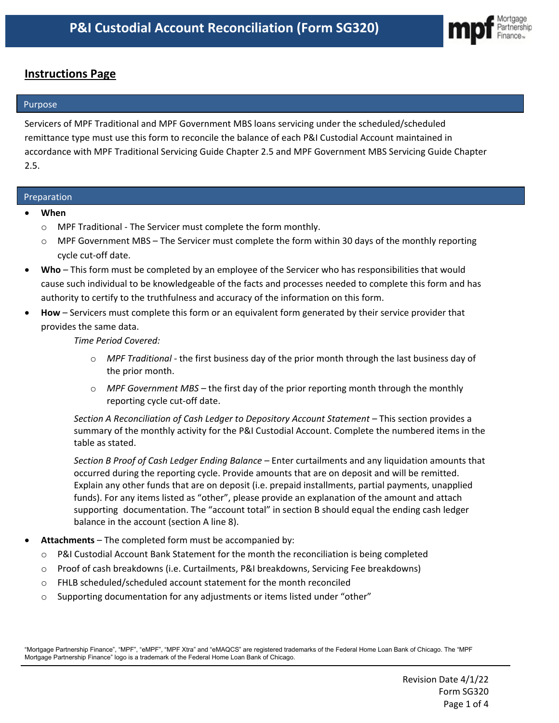

# **Instructions Page**

# Purpose

Servicers of MPF Traditional and MPF Government MBS loans servicing under the scheduled/scheduled remittance type must use this form to reconcile the balance of each P&I Custodial Account maintained in accordance with MPF Traditional Servicing Guide Chapter 2.5 and MPF Government MBS Servicing Guide Chapter 2.5.

# Preparation

- **When**
	- o MPF Traditional The Servicer must complete the form monthly.
	- $\circ$  MPF Government MBS The Servicer must complete the form within 30 days of the monthly reporting cycle cut-off date.
- **Who** This form must be completed by an employee of the Servicer who has responsibilities that would cause such individual to be knowledgeable of the facts and processes needed to complete this form and has authority to certify to the truthfulness and accuracy of the information on this form.
- **How** Servicers must complete this form or an equivalent form generated by their service provider that provides the same data.

*Time Period Covered:* 

- o *MPF Traditional -* the first business day of the prior month through the last business day of the prior month.
- o *MPF Government MBS –* the first day of the prior reporting month through the monthly reporting cycle cut-off date.

*Section A Reconciliation of Cash Ledger to Depository Account Statement –* This section provides a summary of the monthly activity for the P&I Custodial Account. Complete the numbered items in the table as stated.

*Section B Proof of Cash Ledger Ending Balance –* Enter curtailments and any liquidation amounts that occurred during the reporting cycle. Provide amounts that are on deposit and will be remitted. Explain any other funds that are on deposit (i.e. prepaid installments, partial payments, unapplied funds). For any items listed as "other", please provide an explanation of the amount and attach supporting documentation. The "account total" in section B should equal the ending cash ledger balance in the account (section A line 8).

- **Attachments** The completed form must be accompanied by:
	- o P&I Custodial Account Bank Statement for the month the reconciliation is being completed
	- o Proof of cash breakdowns (i.e. Curtailments, P&I breakdowns, Servicing Fee breakdowns)
	- o FHLB scheduled/scheduled account statement for the month reconciled
	- o Supporting documentation for any adjustments or items listed under "other"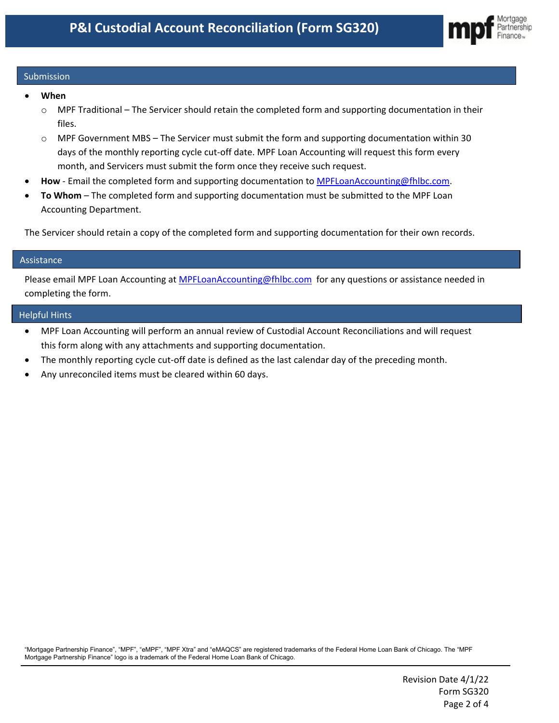

# Submission

- **When**
	- o MPF Traditional The Servicer should retain the completed form and supporting documentation in their files.
	- $\circ$  MPF Government MBS The Servicer must submit the form and supporting documentation within 30 days of the monthly reporting cycle cut-off date. MPF Loan Accounting will request this form every month, and Servicers must submit the form once they receive such request.
- **How** Email the completed form and supporting documentation to [MPFLoanAccounting@fhlbc.com.](mailto:MPFLoanAccounting@fhlbc.com)
- **To Whom** The completed form and supporting documentation must be submitted to the MPF Loan Accounting Department.

The Servicer should retain a copy of the completed form and supporting documentation for their own records.

### Assistance

Please email MPF Loan Accounting at [MPFLoanAccounting@fhlbc.com](mailto:MPFLoanAccounting@fhlbc.com) for any questions or assistance needed in completing the form.

### Helpful Hints

- MPF Loan Accounting will perform an annual review of Custodial Account Reconciliations and will request this form along with any attachments and supporting documentation.
- The monthly reporting cycle cut-off date is defined as the last calendar day of the preceding month.
- Any unreconciled items must be cleared within 60 days.

"Mortgage Partnership Finance", "MPF", "eMPF", "MPF Xtra" and "eMAQCS" are registered trademarks of the Federal Home Loan Bank of Chicago. The "MPF Mortgage Partnership Finance" logo is a trademark of the Federal Home Loan Bank of Chicago.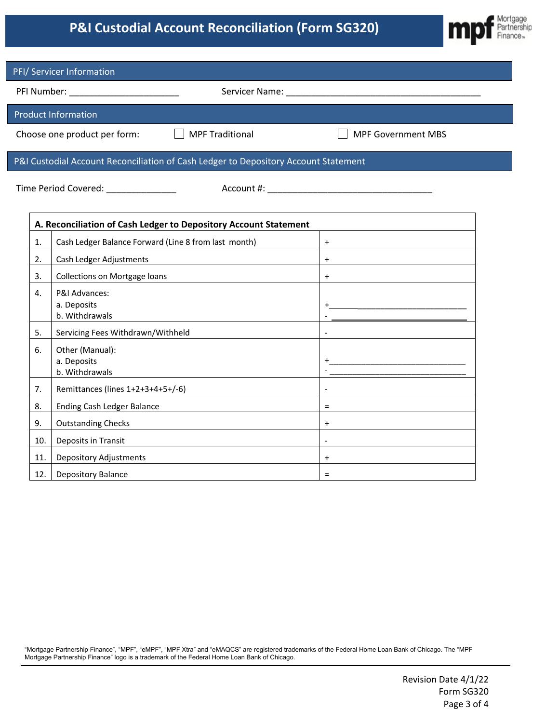# **P&I Custodial Account Reconciliation (Form SG320)**



| PFI/ Servicer Information                                                                                     |                                                      |                                                                                                                                                                                                                                |  |  |  |  |  |  |
|---------------------------------------------------------------------------------------------------------------|------------------------------------------------------|--------------------------------------------------------------------------------------------------------------------------------------------------------------------------------------------------------------------------------|--|--|--|--|--|--|
| PFI Number: National Prince of the Marian Communication of the United States and the United States and Talent |                                                      | Servicer Name: The contract of the contract of the contract of the contract of the contract of the contract of the contract of the contract of the contract of the contract of the contract of the contract of the contract of |  |  |  |  |  |  |
|                                                                                                               | <b>Product Information</b>                           |                                                                                                                                                                                                                                |  |  |  |  |  |  |
| Choose one product per form:<br><b>MPF Traditional</b>                                                        |                                                      | <b>MPF Government MBS</b>                                                                                                                                                                                                      |  |  |  |  |  |  |
| P&I Custodial Account Reconciliation of Cash Ledger to Depository Account Statement                           |                                                      |                                                                                                                                                                                                                                |  |  |  |  |  |  |
|                                                                                                               | Time Period Covered: ______________                  |                                                                                                                                                                                                                                |  |  |  |  |  |  |
| A. Reconciliation of Cash Ledger to Depository Account Statement                                              |                                                      |                                                                                                                                                                                                                                |  |  |  |  |  |  |
| 1.                                                                                                            | Cash Ledger Balance Forward (Line 8 from last month) | $+$                                                                                                                                                                                                                            |  |  |  |  |  |  |
| 2.                                                                                                            | Cash Ledger Adjustments                              | $\ddot{}$                                                                                                                                                                                                                      |  |  |  |  |  |  |
| 3.                                                                                                            | <b>Collections on Mortgage loans</b>                 | $\ddot{}$                                                                                                                                                                                                                      |  |  |  |  |  |  |
| 4.                                                                                                            | P&I Advances:<br>a. Deposits<br>b. Withdrawals       |                                                                                                                                                                                                                                |  |  |  |  |  |  |
| 5.                                                                                                            | Servicing Fees Withdrawn/Withheld                    |                                                                                                                                                                                                                                |  |  |  |  |  |  |
| 6.                                                                                                            | Other (Manual):<br>a. Deposits<br>b. Withdrawals     |                                                                                                                                                                                                                                |  |  |  |  |  |  |
| 7.                                                                                                            | Remittances (lines 1+2+3+4+5+/-6)                    |                                                                                                                                                                                                                                |  |  |  |  |  |  |
| 8.                                                                                                            | <b>Ending Cash Ledger Balance</b>                    | $=$                                                                                                                                                                                                                            |  |  |  |  |  |  |
| 9.                                                                                                            | <b>Outstanding Checks</b>                            | $\ddot{}$                                                                                                                                                                                                                      |  |  |  |  |  |  |
| 10.                                                                                                           | Deposits in Transit                                  |                                                                                                                                                                                                                                |  |  |  |  |  |  |
| 11.                                                                                                           | <b>Depository Adjustments</b>                        | $\ddot{}$                                                                                                                                                                                                                      |  |  |  |  |  |  |
| 12.                                                                                                           | Depository Balance                                   | $\equiv$                                                                                                                                                                                                                       |  |  |  |  |  |  |

"Mortgage Partnership Finance", "MPF", "eMPF", "MPF Xtra" and "eMAQCS" are registered trademarks of the Federal Home Loan Bank of Chicago. The "MPF Mortgage Partnership Finance" logo is a trademark of the Federal Home Loan Bank of Chicago.